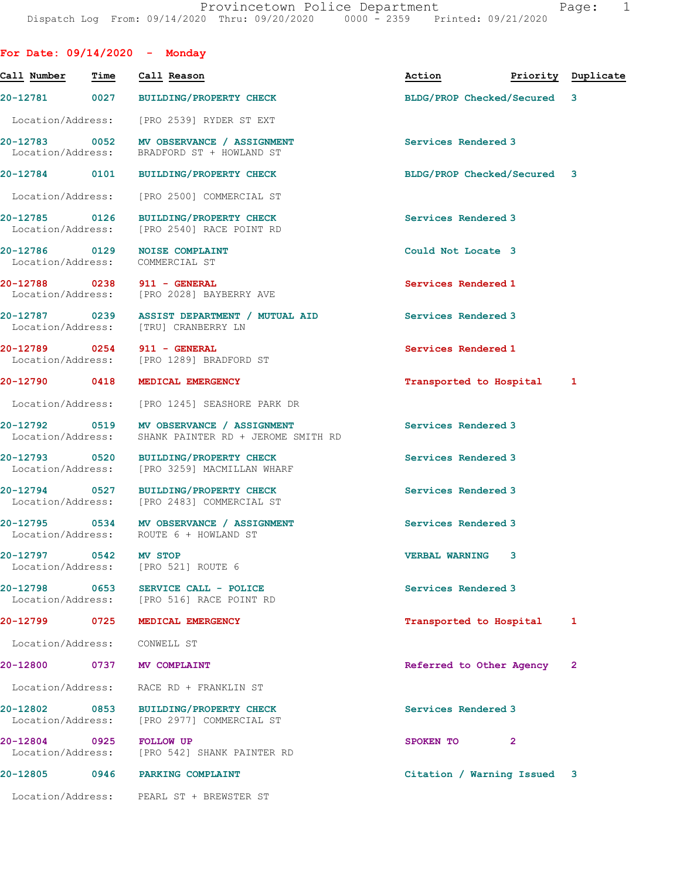| For Date: $09/14/2020 -$ Monday                  |                   |                |                                                                                                  |                             |                    |   |
|--------------------------------------------------|-------------------|----------------|--------------------------------------------------------------------------------------------------|-----------------------------|--------------------|---|
| Call Number                                      | Time              |                | Call Reason                                                                                      | Action                      | Priority Duplicate |   |
|                                                  |                   |                | 20-12781 0027 BUILDING/PROPERTY CHECK                                                            | BLDG/PROP Checked/Secured 3 |                    |   |
| Location/Address:                                |                   |                | [PRO 2539] RYDER ST EXT                                                                          |                             |                    |   |
|                                                  |                   |                | 20-12783 0052 MV OBSERVANCE / ASSIGNMENT<br>Location/Address: BRADFORD ST + HOWLAND ST           | Services Rendered 3         |                    |   |
|                                                  |                   |                | 20-12784 0101 BUILDING/PROPERTY CHECK                                                            | BLDG/PROP Checked/Secured 3 |                    |   |
| Location/Address:                                |                   |                | [PRO 2500] COMMERCIAL ST                                                                         |                             |                    |   |
|                                                  |                   |                | 20-12785 0126 BUILDING/PROPERTY CHECK<br>Location/Address: [PRO 2540] RACE POINT RD              | Services Rendered 3         |                    |   |
| 20-12786 0129<br>Location/Address: COMMERCIAL ST |                   |                | <b>NOISE COMPLAINT</b>                                                                           | Could Not Locate 3          |                    |   |
| 20-12788 0238 911 - GENERAL                      |                   |                | Location/Address: [PRO 2028] BAYBERRY AVE                                                        | Services Rendered 1         |                    |   |
|                                                  |                   |                | 20-12787  0239  ASSIST DEPARTMENT / MUTUAL AID<br>Location/Address: [TRU] CRANBERRY LN           | Services Rendered 3         |                    |   |
| 20-12789 0254 911 - GENERAL                      |                   |                | Location/Address: [PRO 1289] BRADFORD ST                                                         | Services Rendered 1         |                    |   |
| 20-12790 0418                                    |                   |                | <b>MEDICAL EMERGENCY</b>                                                                         | Transported to Hospital 1   |                    |   |
| Location/Address:                                |                   |                | [PRO 1245] SEASHORE PARK DR                                                                      |                             |                    |   |
|                                                  |                   |                | 20-12792 0519 MV OBSERVANCE / ASSIGNMENT<br>Location/Address: SHANK PAINTER RD + JEROME SMITH RD | Services Rendered 3         |                    |   |
|                                                  |                   |                | 20-12793 0520 BUILDING/PROPERTY CHECK<br>Location/Address: [PRO 3259] MACMILLAN WHARF            | Services Rendered 3         |                    |   |
|                                                  |                   |                | 20-12794 0527 BUILDING/PROPERTY CHECK<br>Location/Address: [PRO 2483] COMMERCIAL ST              | Services Rendered 3         |                    |   |
|                                                  |                   |                | 20-12795 0534 MV OBSERVANCE / ASSIGNMENT<br>Location/Address: ROUTE 6 + HOWLAND ST               | Services Rendered 3         |                    |   |
| 20-12797<br>Location/Address:                    | $\overline{0542}$ | <b>MV STOP</b> | [PRO 521] ROUTE 6                                                                                | <b>VERBAL WARNING</b>       | 3                  |   |
| 20-12798                                         | 0653              |                | SERVICE CALL - POLICE<br>Location/Address: [PRO 516] RACE POINT RD                               | Services Rendered 3         |                    |   |
| 20-12799                                         | 0725              |                | MEDICAL EMERGENCY                                                                                | Transported to Hospital     |                    | 1 |
| Location/Address:                                |                   |                | CONWELL ST                                                                                       |                             |                    |   |
| 20-12800                                         | 0737              |                | <b>MV COMPLAINT</b>                                                                              | Referred to Other Agency    |                    | 2 |
| Location/Address:                                |                   |                | RACE RD + FRANKLIN ST                                                                            |                             |                    |   |
| 20-12802<br>Location/Address:                    | 0853              |                | <b>BUILDING/PROPERTY CHECK</b><br>[PRO 2977] COMMERCIAL ST                                       | Services Rendered 3         |                    |   |
| 20-12804<br>Location/Address:                    | 0925              |                | <b>FOLLOW UP</b><br>[PRO 542] SHANK PAINTER RD                                                   | SPOKEN TO                   | $\overline{2}$     |   |
| 20-12805                                         | 0946              |                | <b>PARKING COMPLAINT</b>                                                                         | Citation / Warning Issued 3 |                    |   |
|                                                  |                   |                | Location/Address: PEARL ST + BREWSTER ST                                                         |                             |                    |   |
|                                                  |                   |                |                                                                                                  |                             |                    |   |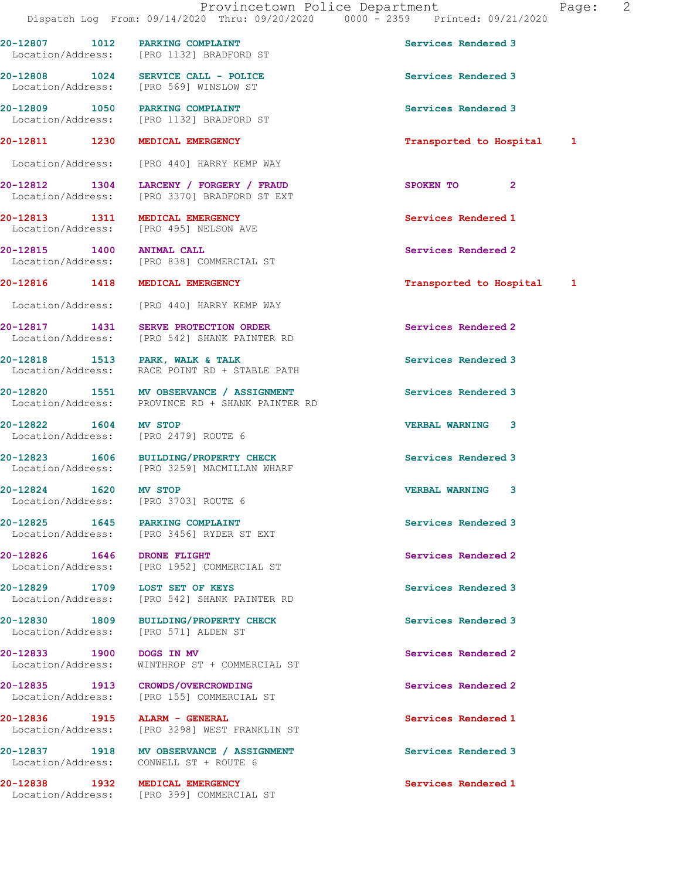20-12807 1012 PARKING COMPLAINT Services Rendered 3

Location/Address: [PRO 1132] BRADFORD ST

20-12808 1024 SERVICE CALL - POLICE Services Rendered 3 Location/Address: [PRO 569] WINSLOW ST 20-12809 1050 PARKING COMPLAINT Services Rendered 3 Location/Address: [PRO 1132] BRADFORD ST 20-12811 1230 MEDICAL EMERGENCY **1230 1230** 1280 12811 1 Location/Address: [PRO 440] HARRY KEMP WAY 20-12812 1304 LARCENY / FORGERY / FRAUD SPOKEN TO 2 Location/Address: [PRO 3370] BRADFORD ST EXT 20-12813 1311 MEDICAL EMERGENCY 1999 12813 Services Rendered 1 Location/Address: [PRO 495] NELSON AVE 20-12815 1400 ANIMAL CALL Services Rendered 2 Location/Address: [PRO 838] COMMERCIAL ST 20-12816 1418 MEDICAL EMERGENCY **128 CONTACT 12816** 128 MEDICAL EMERGENCY Location/Address: [PRO 440] HARRY KEMP WAY 20-12817 1431 SERVE PROTECTION ORDER Services Rendered 2 Location/Address: [PRO 542] SHANK PAINTER RD 20-12818 1513 PARK, WALK & TALK Services Rendered 3 Location/Address: RACE POINT RD + STABLE PATH 20-12820 1551 MV OBSERVANCE / ASSIGNMENT Services Rendered 3 Location/Address: PROVINCE RD + SHANK PAINTER RD 20-12822 1604 MV STOP VERBAL WARNING 3 Location/Address: [PRO 2479] ROUTE 6 20-12823 1606 BUILDING/PROPERTY CHECK Services Rendered 3<br>
Location/Address: [PRO 3259] MACMILLAN WHARF [PRO 3259] MACMILLAN WHARF 20-12824 1620 MV STOP VERBAL WARNING 3 Location/Address: [PRO 3703] ROUTE 6 20-12825 1645 PARKING COMPLAINT Services Rendered 3 Location/Address: [PRO 3456] RYDER ST EXT 20-12826 1646 DRONE FLIGHT Services Rendered 2<br>
Location/Address: [PRO 1952] COMMERCIAL ST [PRO 1952] COMMERCIAL ST 20-12829 1709 LOST SET OF KEYS Services Rendered 3 Location/Address: [PRO 542] SHANK PAINTER RD 20-12830 1809 BUILDING/PROPERTY CHECK Services Rendered 3 Location/Address: [PRO 571] ALDEN ST 20-12833 1900 DOGS IN MV Services Rendered 2 Location/Address: WINTHROP ST + COMMERCIAL ST

20-12835 1913 CROWDS/OVERCROWDING Services Rendered 2 Location/Address: [PRO 155] COMMERCIAL ST

20-12836 1915 ALARM - GENERAL 20-12836 1915 1915 Services Rendered 1<br>
Location/Address: [PRO 3298] WEST FRANKLIN ST Location/Address: [PRO 3298] WEST FRANKLIN ST

20-12837 1918 MV OBSERVANCE / ASSIGNMENT Services Rendered 3 Location/Address: CONWELL ST + ROUTE 6

20-12838 1932 MEDICAL EMERGENCY Services Rendered 1 Location/Address: [PRO 399] COMMERCIAL ST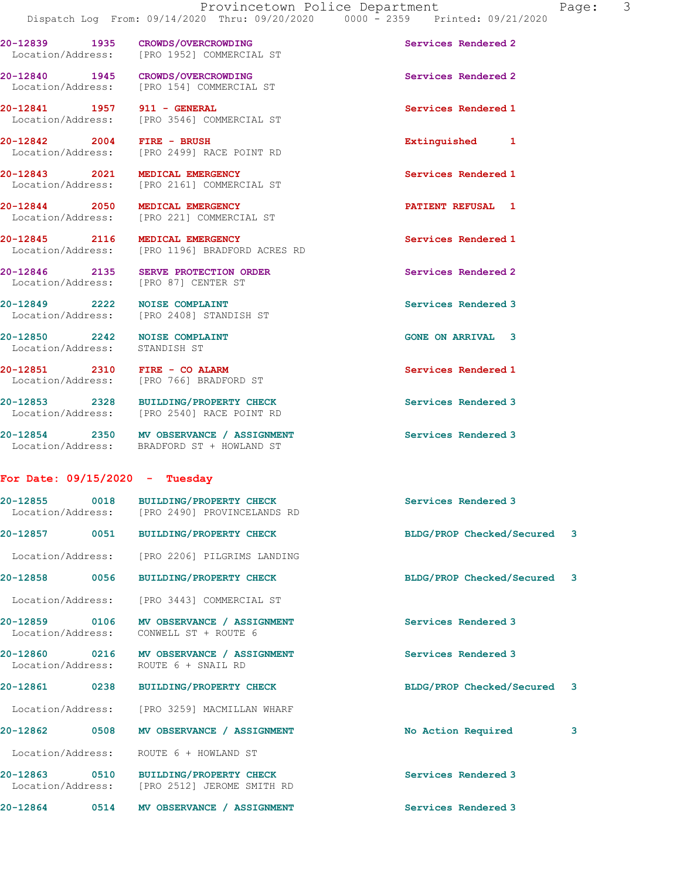20-12839 1935 CROWDS/OVERCROWDING Services Rendered 2

Location/Address: [PRO 1952] COMMERCIAL ST

20-12840 1945 CROWDS/OVERCROWDING Services Rendered 2 Location/Address: [PRO 154] COMMERCIAL ST 20-12841 1957 911 - GENERAL Services Rendered 1 Location/Address: [PRO 3546] COMMERCIAL ST 20-12842 2004 FIRE - BRUSH Extinguished 1 Location/Address: [PRO 2499] RACE POINT RD 20-12843 2021 MEDICAL EMERGENCY Services Rendered 1 Location/Address: [PRO 2161] COMMERCIAL ST 20-12844 2050 MEDICAL EMERGENCY **PATIENT REFUSAL 1**  Location/Address: [PRO 221] COMMERCIAL ST 20-12845 2116 MEDICAL EMERGENCY Services Rendered 1 Location/Address: [PRO 1196] BRADFORD ACRES RD 20-12846 2135 SERVE PROTECTION ORDER Services Rendered 2 Location/Address: [PRO 87] CENTER ST 20-12849 2222 NOISE COMPLAINT **Services Rendered 3**  Location/Address: [PRO 2408] STANDISH ST 20-12850 2242 NOISE COMPLAINT GONE ON ARRIVAL 3 Location/Address: STANDISH ST 20-12851 2310 FIRE - CO ALARM Services Rendered 1 Location/Address: [PRO 766] BRADFORD ST 20-12853 2328 BUILDING/PROPERTY CHECK Services Rendered 3<br>
Location/Address: [PRO 2540] RACE POINT RD [PRO 2540] RACE POINT RD 20-12854 2350 MV OBSERVANCE / ASSIGNMENT Services Rendered 3 Location/Address: BRADFORD ST + HOWLAND ST For Date: 09/15/2020 - Tuesday 20-12855 0018 BUILDING/PROPERTY CHECK Services Rendered 3 Location/Address: [PRO 2490] PROVINCELANDS RD 20-12857 0051 BUILDING/PROPERTY CHECK BLDG/PROP Checked/Secured 3 Location/Address: [PRO 2206] PILGRIMS LANDING 20-12858 0056 BUILDING/PROPERTY CHECK BLDG/PROP Checked/Secured 3 Location/Address: [PRO 3443] COMMERCIAL ST 20-12859 0106 MV OBSERVANCE / ASSIGNMENT Services Rendered 3 Location/Address: CONWELL ST + ROUTE 6 20-12860 0216 MV OBSERVANCE / ASSIGNMENT Services Rendered 3 Location/Address: ROUTE 6 + SNAIL RD 20-12861 0238 BUILDING/PROPERTY CHECK BLDG/PROP Checked/Secured 3 Location/Address: [PRO 3259] MACMILLAN WHARF

20-12862 0508 MV OBSERVANCE / ASSIGNMENT No Action Required 3 Location/Address: ROUTE 6 + HOWLAND ST 20-12863 0510 BUILDING/PROPERTY CHECK Services Rendered 3 Location/Address: [PRO 2512] JEROME SMITH RD 20-12864 0514 MV OBSERVANCE / ASSIGNMENT Services Rendered 3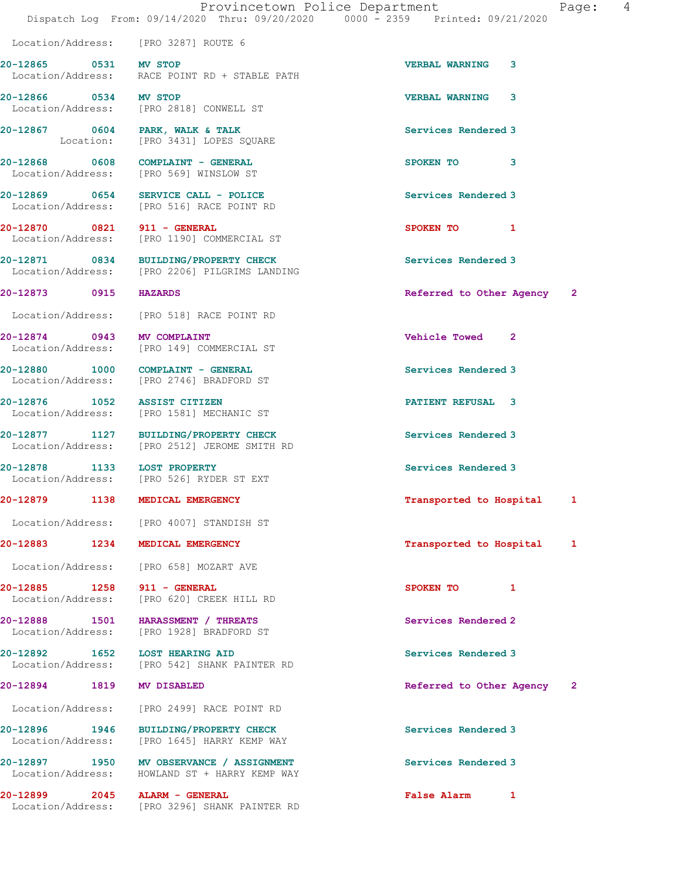|                                    | Location/Address: [PRO 3287] ROUTE 6                                                      |                            |  |
|------------------------------------|-------------------------------------------------------------------------------------------|----------------------------|--|
| 20-12865 0531 MV STOP              | Location/Address: RACE POINT RD + STABLE PATH                                             | <b>VERBAL WARNING</b><br>3 |  |
| 20-12866 0534 MV STOP              | Location/Address: [PRO 2818] CONWELL ST                                                   | <b>VERBAL WARNING 3</b>    |  |
|                                    | 20-12867 0604 PARK, WALK & TALK<br>Location: [PRO 3431] LOPES SQUARE                      | Services Rendered 3        |  |
|                                    | 20-12868 0608 COMPLAINT - GENERAL<br>Location/Address: [PRO 569] WINSLOW ST               | SPOKEN TO 3                |  |
|                                    | 20-12869 0654 SERVICE CALL - POLICE<br>Location/Address: [PRO 516] RACE POINT RD          | Services Rendered 3        |  |
| 20-12870 0821 911 - GENERAL        | Location/Address: [PRO 1190] COMMERCIAL ST                                                | SPOKEN TO 1                |  |
|                                    | 20-12871 0834 BUILDING/PROPERTY CHECK<br>Location/Address: [PRO 2206] PILGRIMS LANDING    | Services Rendered 3        |  |
| 20-12873 0915 HAZARDS              |                                                                                           | Referred to Other Agency 2 |  |
|                                    | Location/Address: [PRO 518] RACE POINT RD                                                 |                            |  |
| 20-12874 0943 MV COMPLAINT         | Location/Address: [PRO 149] COMMERCIAL ST                                                 | Vehicle Towed 2            |  |
|                                    | 20-12880 1000 COMPLAINT - GENERAL<br>Location/Address: [PRO 2746] BRADFORD ST             | Services Rendered 3        |  |
| 20-12876 1052 ASSIST CITIZEN       | Location/Address: [PRO 1581] MECHANIC ST                                                  | PATIENT REFUSAL 3          |  |
|                                    | 20-12877 1127 BUILDING/PROPERTY CHECK<br>Location/Address: [PRO 2512] JEROME SMITH RD     | Services Rendered 3        |  |
| 20-12878 1133 LOST PROPERTY        | Location/Address: [PRO 526] RYDER ST EXT                                                  | Services Rendered 3        |  |
|                                    | 20-12879 1138 MEDICAL EMERGENCY                                                           | Transported to Hospital 1  |  |
|                                    | Location/Address: [PRO 4007] STANDISH ST                                                  |                            |  |
| 20-12883 1234 MEDICAL EMERGENCY    |                                                                                           | Transported to Hospital 1  |  |
|                                    | Location/Address: [PRO 658] MOZART AVE                                                    |                            |  |
| 20-12885 1258 911 - GENERAL        | Location/Address: [PRO 620] CREEK HILL RD                                                 | SPOKEN TO<br>$\mathbf{1}$  |  |
|                                    | 20-12888 1501 HARASSMENT / THREATS<br>Location/Address: [PRO 1928] BRADFORD ST            | Services Rendered 2        |  |
| 20-12892 1652 LOST HEARING AID     | Location/Address: [PRO 542] SHANK PAINTER RD                                              | Services Rendered 3        |  |
| 20-12894 1819 MV DISABLED          |                                                                                           | Referred to Other Agency 2 |  |
|                                    | Location/Address: [PRO 2499] RACE POINT RD                                                |                            |  |
| 20-12896 1946<br>Location/Address: | BUILDING/PROPERTY CHECK<br>[PRO 1645] HARRY KEMP WAY                                      | Services Rendered 3        |  |
|                                    | 20-12897 1950 MV OBSERVANCE / ASSIGNMENT<br>Location/Address: HOWLAND ST + HARRY KEMP WAY | Services Rendered 3        |  |
| 20-12899 2045 ALARM - GENERAL      | Location/Address: [PRO 3296] SHANK PAINTER RD                                             | False Alarm 1              |  |
|                                    |                                                                                           |                            |  |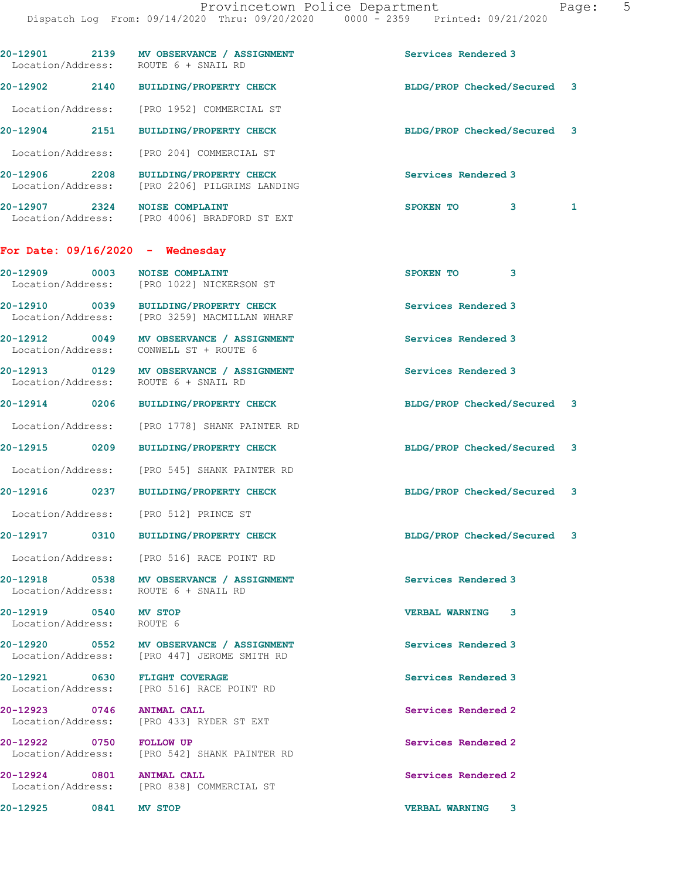| Location/Address: ROUTE 6 + SNAIL RD               | 20-12901 2139 MV OBSERVANCE / ASSIGNMENT                                                | Services Rendered 3         |  |
|----------------------------------------------------|-----------------------------------------------------------------------------------------|-----------------------------|--|
|                                                    | 20-12902 2140 BUILDING/PROPERTY CHECK                                                   | BLDG/PROP Checked/Secured 3 |  |
|                                                    | Location/Address: [PRO 1952] COMMERCIAL ST                                              |                             |  |
| 20-12904 2151                                      | <b>BUILDING/PROPERTY CHECK</b>                                                          | BLDG/PROP Checked/Secured 3 |  |
| Location/Address:                                  | [PRO 204] COMMERCIAL ST                                                                 |                             |  |
| 20-12906 2208<br>Location/Address:                 | BUILDING/PROPERTY CHECK<br>[PRO 2206] PILGRIMS LANDING                                  | Services Rendered 3         |  |
| 20-12907 2324 NOISE COMPLAINT                      | Location/Address: [PRO 4006] BRADFORD ST EXT                                            | SPOKEN TO<br>1<br>3         |  |
| For Date: $09/16/2020$ - Wednesday                 |                                                                                         |                             |  |
| 20-12909 0003                                      | <b>NOISE COMPLAINT</b><br>Location/Address: [PRO 1022] NICKERSON ST                     | SPOKEN TO<br>3              |  |
|                                                    | 20-12910 0039 BUILDING/PROPERTY CHECK<br>Location/Address: [PRO 3259] MACMILLAN WHARF   | Services Rendered 3         |  |
| Location/Address: CONWELL ST + ROUTE 6             | 20-12912 0049 MV OBSERVANCE / ASSIGNMENT                                                | Services Rendered 3         |  |
| Location/Address: ROUTE 6 + SNAIL RD               | 20-12913 0129 MV OBSERVANCE / ASSIGNMENT                                                | Services Rendered 3         |  |
| 20-12914 0206                                      | <b>BUILDING/PROPERTY CHECK</b>                                                          | BLDG/PROP Checked/Secured 3 |  |
| Location/Address:                                  | [PRO 1778] SHANK PAINTER RD                                                             |                             |  |
| 20-12915 0209                                      | <b>BUILDING/PROPERTY CHECK</b>                                                          | BLDG/PROP Checked/Secured 3 |  |
|                                                    | Location/Address: [PRO 545] SHANK PAINTER RD                                            |                             |  |
| 20-12916 0237                                      | <b>BUILDING/PROPERTY CHECK</b>                                                          | BLDG/PROP Checked/Secured 3 |  |
| Location/Address: [PRO 512] PRINCE ST              |                                                                                         |                             |  |
| 20-12917 0310                                      | <b>BUILDING/PROPERTY CHECK</b>                                                          | BLDG/PROP Checked/Secured 3 |  |
|                                                    | Location/Address: [PRO 516] RACE POINT RD                                               |                             |  |
| Location/Address: ROUTE 6 + SNAIL RD               | 20-12918 0538 MV OBSERVANCE / ASSIGNMENT                                                | Services Rendered 3         |  |
| 20-12919 0540 MV STOP<br>Location/Address: ROUTE 6 |                                                                                         | <b>VERBAL WARNING 3</b>     |  |
|                                                    | 20-12920 0552 MV OBSERVANCE / ASSIGNMENT<br>Location/Address: [PRO 447] JEROME SMITH RD | Services Rendered 3         |  |
|                                                    | 20-12921 0630 FLIGHT COVERAGE<br>Location/Address: [PRO 516] RACE POINT RD              | Services Rendered 3         |  |
| 20-12923 0746 ANIMAL CALL                          | Location/Address: [PRO 433] RYDER ST EXT                                                | Services Rendered 2         |  |
| 20-12922 0750 FOLLOW UP                            | Location/Address: [PRO 542] SHANK PAINTER RD                                            | Services Rendered 2         |  |
| 20-12924 0801 ANIMAL CALL                          | Location/Address: [PRO 838] COMMERCIAL ST                                               | Services Rendered 2         |  |
| 20-12925 0841 MV STOP                              |                                                                                         | <b>VERBAL WARNING 3</b>     |  |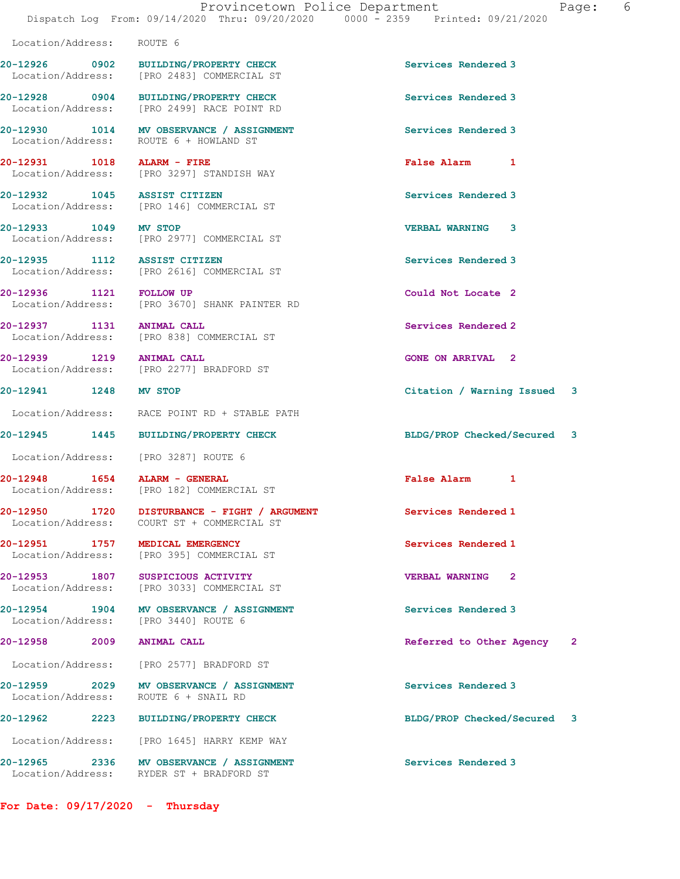Location/Address: ROUTE 6

20-12926 0902 BUILDING/PROPERTY CHECK Services Rendered 3 Location/Address: [PRO 2483] COMMERCIAL ST

20-12930 1014 MV OBSERVANCE / ASSIGNMENT Services Rendered 3

20-12931 1018 ALARM - FIRE False Alarm 1

20-12932 1045 ASSIST CITIZEN Services Rendered 3

Location/Address:

Location/Address:

Location/Address: [PRO 1645] HARRY KEMP WAY

For Date: 09/17/2020 - Thursday

20-12928 0904 BUILDING/PROPERTY CHECK Services Rendered 3<br>
Location/Address: [PRO 2499] RACE POINT RD [PRO 2499] RACE POINT RD

Location/Address: ROUTE 6 + HOWLAND ST

Location/Address: [PRO 3297] STANDISH WAY

Location/Address: [PRO 146] COMMERCIAL ST

20-12933 1049 MV STOP VERBAL WARNING 3 Location/Address: [PRO 2977] COMMERCIAL ST

20-12935 1112 ASSIST CITIZEN Services Rendered 3 Location/Address: [PRO 2616] COMMERCIAL ST

20-12936 1121 FOLLOW UP Could Not Locate 2 Location/Address: [PRO 3670] SHANK PAINTER RD

20-12937 1131 ANIMAL CALL Services Rendered 2 Location/Address: [PRO 838] COMMERCIAL ST

20-12939 1219 ANIMAL CALL CONE ON ARRIVAL 2 Location/Address: [PRO 2277] BRADFORD ST

Location/Address: RACE POINT RD + STABLE PATH

Location/Address: [PRO 3287] ROUTE 6

20-12948 1654 ALARM - GENERAL False Alarm 1 Location/Address: [PRO 182] COMMERCIAL ST

20-12950 1720 DISTURBANCE - FIGHT / ARGUMENT Services Rendered 1 Location/Address: COURT ST + COMMERCIAL ST

20-12951 1757 MEDICAL EMERGENCY Services Rendered 1 Location/Address: [PRO 395] COMMERCIAL ST

20-12953 1807 SUSPICIOUS ACTIVITY VERBAL WARNING 2 Location/Address: [PRO 3033] COMMERCIAL ST

20-12954 1904 MV OBSERVANCE / ASSIGNMENT Services Rendered 3<br>
Location/Address: [PRO 3440] ROUTE 6

Location/Address: [PRO 2577] BRADFORD ST

20-12959 2029 MV OBSERVANCE / ASSIGNMENT Services Rendered 3<br>
Location/Address: ROUTE 6 + SNAIL RD

Location/Address: RYDER ST + BRADFORD ST

20-12941 1248 MV STOP Citation / Warning Issued 3

20-12945 1445 BUILDING/PROPERTY CHECK BLDG/PROP Checked/Secured 3

20-12958 2009 ANIMAL CALL Referred to Other Agency 2

20-12962 2223 BUILDING/PROPERTY CHECK BLDG/PROP Checked/Secured 3

20-12965 2336 MV OBSERVANCE / ASSIGNMENT Services Rendered 3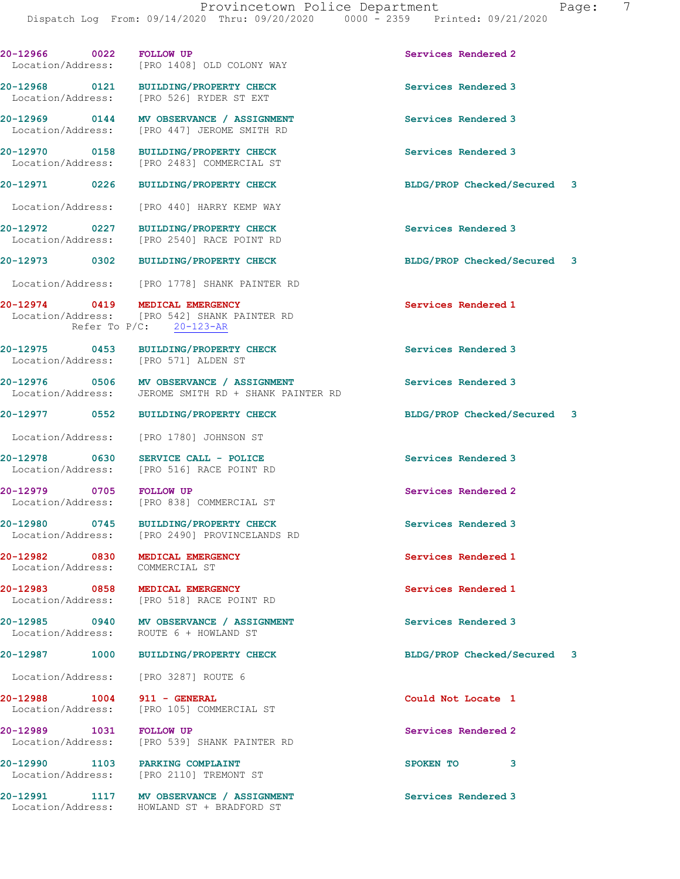| 20-12966 0022                      |      | <b>FOLLOW UP</b><br>Location/Address: [PRO 1408] OLD COLONY WAY                                                 | Services Rendered 2         |   |
|------------------------------------|------|-----------------------------------------------------------------------------------------------------------------|-----------------------------|---|
|                                    |      | 20-12968 0121 BUILDING/PROPERTY CHECK<br>Location/Address: [PRO 526] RYDER ST EXT                               | Services Rendered 3         |   |
|                                    |      | 20-12969 0144 MV OBSERVANCE / ASSIGNMENT<br>Location/Address: [PRO 447] JEROME SMITH RD                         | Services Rendered 3         |   |
| 20-12970 0158                      |      | <b>BUILDING/PROPERTY CHECK</b><br>Location/Address: [PRO 2483] COMMERCIAL ST                                    | Services Rendered 3         |   |
| 20-12971 0226                      |      | <b>BUILDING/PROPERTY CHECK</b>                                                                                  | BLDG/PROP Checked/Secured 3 |   |
| Location/Address:                  |      | [PRO 440] HARRY KEMP WAY                                                                                        |                             |   |
| 20-12972 0227<br>Location/Address: |      | <b>BUILDING/PROPERTY CHECK</b><br>[PRO 2540] RACE POINT RD                                                      | Services Rendered 3         |   |
| 20-12973 0302                      |      | <b>BUILDING/PROPERTY CHECK</b>                                                                                  | BLDG/PROP Checked/Secured 3 |   |
|                                    |      | Location/Address: [PRO 1778] SHANK PAINTER RD                                                                   |                             |   |
|                                    |      | 20-12974 0419 MEDICAL EMERGENCY<br>Location/Address: [PRO 542] SHANK PAINTER RD<br>Refer To $P/C$ : $20-123-AR$ | Services Rendered 1         |   |
|                                    |      | 20-12975 0453 BUILDING/PROPERTY CHECK<br>Location/Address: [PRO 571] ALDEN ST                                   | Services Rendered 3         |   |
|                                    |      | 20-12976 0506 MV OBSERVANCE / ASSIGNMENT<br>Location/Address: JEROME SMITH RD + SHANK PAINTER RD                | Services Rendered 3         |   |
|                                    |      | 20-12977 0552 BUILDING/PROPERTY CHECK                                                                           | BLDG/PROP Checked/Secured 3 |   |
|                                    |      | Location/Address: [PRO 1780] JOHNSON ST                                                                         |                             |   |
| 20-12978 0630                      |      | SERVICE CALL - POLICE<br>Location/Address: [PRO 516] RACE POINT RD                                              | Services Rendered 3         |   |
| 20-12979 0705 FOLLOW UP            |      | Location/Address: [PRO 838] COMMERCIAL ST                                                                       | Services Rendered 2         |   |
|                                    |      | 20-12980 0745 BUILDING/PROPERTY CHECK<br>Location/Address: [PRO 2490] PROVINCELANDS RD                          | Services Rendered 3         |   |
| 20-12982 0830                      |      | MEDICAL EMERGENCY<br>Location/Address: COMMERCIAL ST                                                            | Services Rendered 1         |   |
|                                    |      | 20-12983 0858 MEDICAL EMERGENCY<br>Location/Address: [PRO 518] RACE POINT RD                                    | Services Rendered 1         |   |
|                                    |      | 20-12985 0940 MV OBSERVANCE / ASSIGNMENT<br>Location/Address: ROUTE 6 + HOWLAND ST                              | Services Rendered 3         |   |
| 20-12987                           | 1000 | <b>BUILDING/PROPERTY CHECK</b>                                                                                  | BLDG/PROP Checked/Secured   | 3 |
|                                    |      | Location/Address: [PRO 3287] ROUTE 6                                                                            |                             |   |
| 20-12988 1004 911 - GENERAL        |      | Location/Address: [PRO 105] COMMERCIAL ST                                                                       | Could Not Locate 1          |   |
| 20-12989 1031                      |      | <b>FOLLOW UP</b><br>Location/Address: [PRO 539] SHANK PAINTER RD                                                | Services Rendered 2         |   |
|                                    |      | 20-12990 1103 PARKING COMPLAINT<br>Location/Address: [PRO 2110] TREMONT ST                                      | SPOKEN TO<br>3              |   |
|                                    |      | 20-12991 1117 MV OBSERVANCE / ASSIGNMENT<br>Location/Address: HOWLAND ST + BRADFORD ST                          | Services Rendered 3         |   |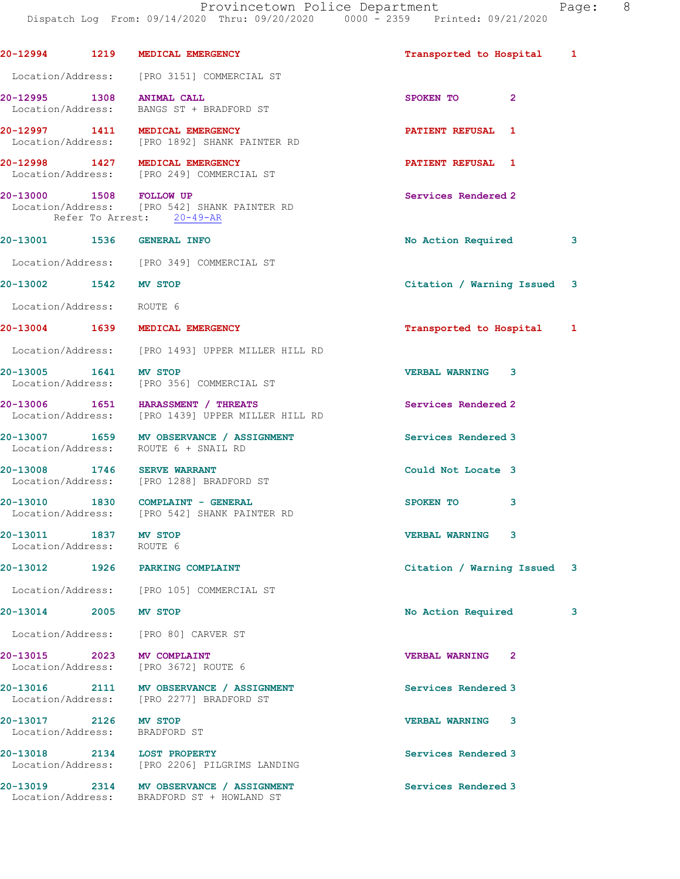Provincetown Police Department Page: 8 Dispatch Log From: 09/14/2020 Thru: 09/20/2020 0000 - 2359 Printed: 09/21/2020 20-12994 1219 MEDICAL EMERGENCY Transported to Hospital 1 Location/Address: [PRO 3151] COMMERCIAL ST 20-12995 1308 ANIMAL CALL 300 120 SPOKEN TO 2 Location/Address: BANGS ST + BRADFORD ST 20-12997 1411 MEDICAL EMERGENCY PATIENT REFUSAL 1 Location/Address: [PRO 1892] SHANK PAINTER RD 20-12998 1427 MEDICAL EMERGENCY PATIENT REFUSAL 1 Location/Address: [PRO 249] COMMERCIAL ST 20-13000 1508 FOLLOW UP Services Rendered 2 Location/Address: [PRO 542] SHANK PAINTER RD Refer To Arrest: 20-49-AR 20-13001 1536 GENERAL INFO 20 20 No Action Required 3 Location/Address: [PRO 349] COMMERCIAL ST 20-13002 1542 MV STOP Citation / Warning Issued 3 Location/Address: ROUTE 6 20-13004 1639 MEDICAL EMERGENCY Transported to Hospital 1 Location/Address: [PRO 1493] UPPER MILLER HILL RD 20-13005 1641 MV STOP VERBAL WARNING 3 Location/Address: [PRO 356] COMMERCIAL ST 20-13006 1651 HARASSMENT / THREATS Services Rendered 2 Location/Address: [PRO 1439] UPPER MILLER HILL RD 20-13007 1659 MV OBSERVANCE / ASSIGNMENT Services Rendered 3 Location/Address: ROUTE 6 + SNAIL RD 20-13008 1746 SERVE WARRANT **1200** Could Not Locate 3 Location/Address: [PRO 1288] BRADFORD ST 20-13010 1830 COMPLAINT - GENERAL SPOKEN TO 3<br>
Location/Address: [PRO 542] SHANK PAINTER RD [PRO 542] SHANK PAINTER RD 20-13011 1837 MV STOP VERBAL WARNING 3 Location/Address: ROUTE 6 20-13012 1926 PARKING COMPLAINT Citation / Warning Issued 3 Location/Address: [PRO 105] COMMERCIAL ST 20-13014 2005 MV STOP 2005 20 No Action Required 3 Location/Address: [PRO 80] CARVER ST 20-13015 2023 MV COMPLAINT 2000 2000 2000 VERBAL WARNING 2 Location/Address: [PRO 3672] ROUTE 6 20-13016 2111 MV OBSERVANCE / ASSIGNMENT Services Rendered 3 Location/Address: [PRO 2277] BRADFORD ST 20-13017 2126 MV STOP VERBAL WARNING 3 Location/Address: BRADFORD ST 20-13018 2134 LOST PROPERTY Services Rendered 3 Location/Address: [PRO 2206] PILGRIMS LANDING 20-13019 2314 MV OBSERVANCE / ASSIGNMENT Services Rendered 3 Location/Address: BRADFORD ST + HOWLAND ST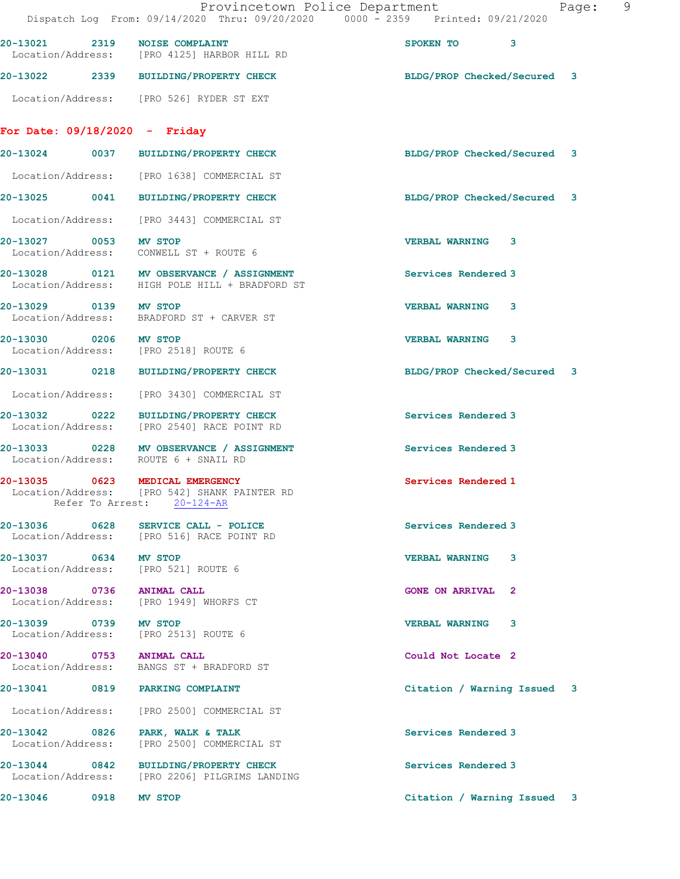|                                 | Provincetown Police Department<br>Dispatch Log From: 09/14/2020 Thru: 09/20/2020 0000 - 2359 Printed: 09/21/2020 |                             | 9<br>Page: |
|---------------------------------|------------------------------------------------------------------------------------------------------------------|-----------------------------|------------|
|                                 | 20-13021 2319 NOISE COMPLAINT<br>Location/Address: [PRO 4125] HARBOR HILL RD                                     | SPOKEN TO<br>3              |            |
|                                 | 20-13022 2339 BUILDING/PROPERTY CHECK                                                                            | BLDG/PROP Checked/Secured 3 |            |
|                                 | Location/Address: [PRO 526] RYDER ST EXT                                                                         |                             |            |
| For Date: $09/18/2020 -$ Friday |                                                                                                                  |                             |            |
|                                 | 20-13024 0037 BUILDING/PROPERTY CHECK                                                                            | BLDG/PROP Checked/Secured 3 |            |
|                                 | Location/Address: [PRO 1638] COMMERCIAL ST                                                                       |                             |            |
|                                 | 20-13025 0041 BUILDING/PROPERTY CHECK                                                                            | BLDG/PROP Checked/Secured 3 |            |
|                                 | Location/Address: [PRO 3443] COMMERCIAL ST                                                                       |                             |            |
| 20-13027 0053 MV STOP           | Location/Address: CONWELL ST + ROUTE 6                                                                           | <b>VERBAL WARNING 3</b>     |            |
|                                 | 20-13028 0121 MV OBSERVANCE / ASSIGNMENT<br>Location/Address: HIGH POLE HILL + BRADFORD ST                       | Services Rendered 3         |            |
| 20-13029 0139 MV STOP           | Location/Address: BRADFORD ST + CARVER ST                                                                        | <b>VERBAL WARNING 3</b>     |            |
| 20-13030 0206 MV STOP           | Location/Address: [PRO 2518] ROUTE 6                                                                             | VERBAL WARNING 3            |            |
|                                 | 20-13031 0218 BUILDING/PROPERTY CHECK                                                                            | BLDG/PROP Checked/Secured 3 |            |
|                                 | Location/Address: [PRO 3430] COMMERCIAL ST                                                                       |                             |            |
|                                 | 20-13032 0222 BUILDING/PROPERTY CHECK<br>Location/Address: [PRO 2540] RACE POINT RD                              | Services Rendered 3         |            |
|                                 | 20-13033 0228 MV OBSERVANCE / ASSIGNMENT<br>Location/Address: ROUTE 6 + SNAIL RD                                 | Services Rendered 3         |            |
|                                 | 20-13035 0623 MEDICAL EMERGENCY<br>Location/Address: [PRO 542] SHANK PAINTER RD<br>Refer To Arrest: 20-124-AR    | Services Rendered 1         |            |
|                                 | Location/Address: [PRO 516] RACE POINT RD                                                                        | Services Rendered 3         |            |
| 20-13037 0634 MV STOP           | Location/Address: [PRO 521] ROUTE 6                                                                              | <b>VERBAL WARNING</b><br>3  |            |
| 20-13038 0736 ANIMAL CALL       | Location/Address: [PRO 1949] WHORFS CT                                                                           | <b>GONE ON ARRIVAL 2</b>    |            |
| 20-13039 0739 MV STOP           | Location/Address: [PRO 2513] ROUTE 6                                                                             | <b>VERBAL WARNING</b><br>3  |            |
| 20-13040 0753 ANIMAL CALL       | Location/Address: BANGS ST + BRADFORD ST                                                                         | Could Not Locate 2          |            |
|                                 | 20-13041 0819 PARKING COMPLAINT                                                                                  | Citation / Warning Issued 3 |            |
|                                 | Location/Address: [PRO 2500] COMMERCIAL ST                                                                       |                             |            |
| Location/Address:               | 20-13042 0826 PARK, WALK & TALK<br>[PRO 2500] COMMERCIAL ST                                                      | Services Rendered 3         |            |
|                                 | 20-13044 0842 BUILDING/PROPERTY CHECK<br>Location/Address: [PRO 2206] PILGRIMS LANDING                           | Services Rendered 3         |            |
| 20-13046 0918 MV STOP           |                                                                                                                  | Citation / Warning Issued 3 |            |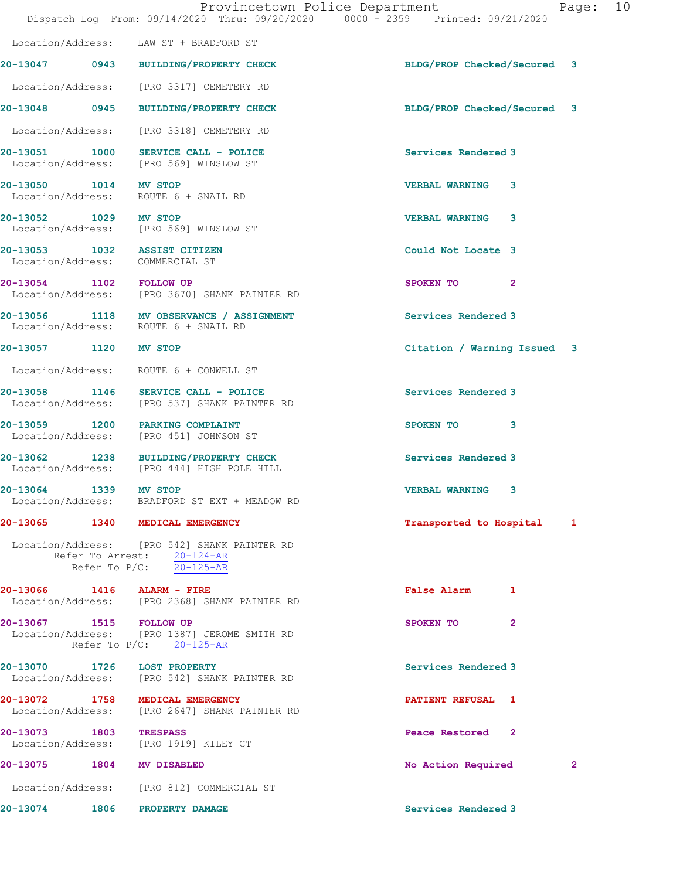|                         | Dispatch Log From: 09/14/2020 Thru: 09/20/2020 0000 - 2359 Printed: 09/21/2020                           | Provincetown Police Department | Page:        | 10 |
|-------------------------|----------------------------------------------------------------------------------------------------------|--------------------------------|--------------|----|
|                         | Location/Address: LAW ST + BRADFORD ST                                                                   |                                |              |    |
|                         | 20-13047 0943 BUILDING/PROPERTY CHECK                                                                    | BLDG/PROP Checked/Secured 3    |              |    |
|                         | Location/Address: [PRO 3317] CEMETERY RD                                                                 |                                |              |    |
|                         | 20-13048 0945 BUILDING/PROPERTY CHECK                                                                    | BLDG/PROP Checked/Secured 3    |              |    |
|                         | Location/Address: [PRO 3318] CEMETERY RD                                                                 |                                |              |    |
|                         | 20-13051 1000 SERVICE CALL - POLICE<br>Location/Address: [PRO 569] WINSLOW ST                            | Services Rendered 3            |              |    |
| 20-13050 1014 MV STOP   | Location/Address: ROUTE 6 + SNAIL RD                                                                     | <b>VERBAL WARNING 3</b>        |              |    |
| 20-13052 1029 MV STOP   | Location/Address: [PRO 569] WINSLOW ST                                                                   | <b>VERBAL WARNING</b><br>3     |              |    |
|                         | 20-13053 1032 ASSIST CITIZEN<br>Location/Address: COMMERCIAL ST                                          | Could Not Locate 3             |              |    |
| 20-13054 1102 FOLLOW UP | Location/Address: [PRO 3670] SHANK PAINTER RD                                                            | SPOKEN TO<br>$\mathbf{2}$      |              |    |
|                         | 20-13056 1118 MV OBSERVANCE / ASSIGNMENT<br>Location/Address: ROUTE 6 + SNAIL RD                         | Services Rendered 3            |              |    |
| 20-13057 1120 MV STOP   |                                                                                                          | Citation / Warning Issued 3    |              |    |
|                         | Location/Address: ROUTE 6 + CONWELL ST                                                                   |                                |              |    |
|                         | 20-13058 1146 SERVICE CALL - POLICE<br>Location/Address: [PRO 537] SHANK PAINTER RD                      | Services Rendered 3            |              |    |
|                         | 20-13059 1200 PARKING COMPLAINT<br>Location/Address: [PRO 451] JOHNSON ST                                | SPOKEN TO 3                    |              |    |
|                         | 20-13062 1238 BUILDING/PROPERTY CHECK<br>Location/Address: [PRO 444] HIGH POLE HILL                      | Services Rendered 3            |              |    |
| 20-13064 1339           | MV STOP<br>Location/Address: BRADFORD ST EXT + MEADOW RD                                                 | <b>VERBAL WARNING 3</b>        |              |    |
|                         | 20-13065 1340 MEDICAL EMERGENCY                                                                          | Transported to Hospital 1      |              |    |
|                         | Location/Address: [PRO 542] SHANK PAINTER RD<br>Refer To Arrest: 20-124-AR<br>Refer To $P/C$ : 20-125-AR |                                |              |    |
|                         | $20-13066$ 1416 ALARM - FIRE<br>Location/Address: [PRO 2368] SHANK PAINTER RD                            | False Alarm 1                  |              |    |
| 20-13067 1515 FOLLOW UP | Location/Address: [PRO 1387] JEROME SMITH RD<br>Refer To $P/C$ : 20-125-AR                               | SPOKEN TO<br>2                 |              |    |
|                         | 20-13070 1726 LOST PROPERTY<br>Location/Address: [PRO 542] SHANK PAINTER RD                              | Services Rendered 3            |              |    |
|                         | 20-13072 1758 MEDICAL EMERGENCY<br>Location/Address: [PRO 2647] SHANK PAINTER RD                         | <b>PATIENT REFUSAL 1</b>       |              |    |
| 20-13073 1803 TRESPASS  | Location/Address: [PRO 1919] KILEY CT                                                                    | Peace Restored 2               |              |    |
|                         | 20-13075 1804 MV DISABLED                                                                                | No Action Required             | $\mathbf{2}$ |    |
|                         | Location/Address: [PRO 812] COMMERCIAL ST                                                                |                                |              |    |
|                         | 20-13074 1806 PROPERTY DAMAGE                                                                            | Services Rendered 3            |              |    |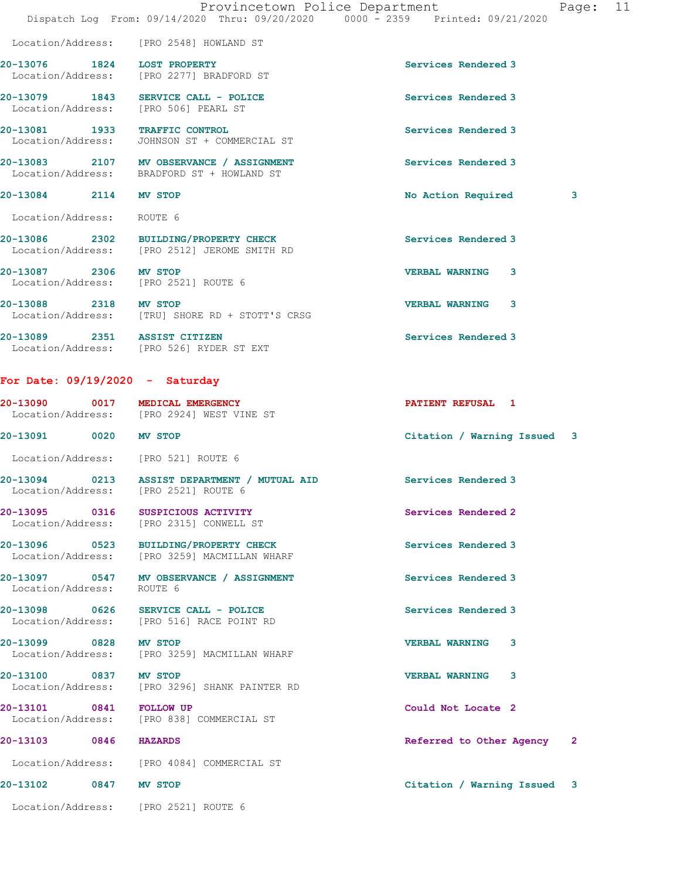|                                     | Provincetown Police Department<br>Dispatch Log From: 09/14/2020 Thru: 09/20/2020 0000 - 2359 Printed: 09/21/2020 |                             | Page: 11     |  |
|-------------------------------------|------------------------------------------------------------------------------------------------------------------|-----------------------------|--------------|--|
|                                     | Location/Address: [PRO 2548] HOWLAND ST                                                                          |                             |              |  |
| 20-13076 1824 LOST PROPERTY         | Location/Address: [PRO 2277] BRADFORD ST                                                                         | Services Rendered 3         |              |  |
|                                     | 20-13079 1843 SERVICE CALL - POLICE<br>Location/Address: [PRO 506] PEARL ST                                      | Services Rendered 3         |              |  |
| 20-13081 1933 TRAFFIC CONTROL       | Location/Address: JOHNSON ST + COMMERCIAL ST                                                                     | Services Rendered 3         |              |  |
|                                     | 20-13083 2107 MV OBSERVANCE / ASSIGNMENT<br>Location/Address: BRADFORD ST + HOWLAND ST                           | Services Rendered 3         |              |  |
| 20-13084 2114 MV STOP               |                                                                                                                  | No Action Required          | 3            |  |
| Location/Address: ROUTE 6           |                                                                                                                  |                             |              |  |
|                                     | 20-13086 2302 BUILDING/PROPERTY CHECK<br>Location/Address: [PRO 2512] JEROME SMITH RD                            | Services Rendered 3         |              |  |
| 20-13087 2306 MV STOP               | Location/Address: [PRO 2521] ROUTE 6                                                                             | VERBAL WARNING 3            |              |  |
| 20-13088 2318 MV STOP               | Location/Address: [TRU] SHORE RD + STOTT'S CRSG                                                                  | VERBAL WARNING 3            |              |  |
| 20-13089 2351 ASSIST CITIZEN        | Location/Address: [PRO 526] RYDER ST EXT                                                                         | Services Rendered 3         |              |  |
| For Date: $09/19/2020 -$ Saturday   |                                                                                                                  |                             |              |  |
| 20-13090 0017 MEDICAL EMERGENCY     | Location/Address: [PRO 2924] WEST VINE ST                                                                        | PATIENT REFUSAL 1           |              |  |
| 20-13091 0020 MV STOP               |                                                                                                                  | Citation / Warning Issued 3 |              |  |
| Location/Address: [PRO 521] ROUTE 6 |                                                                                                                  |                             |              |  |
| Location/Address:                   | 20-13094 0213 ASSIST DEPARTMENT / MUTUAL AID Services Rendered 3<br>[PRO 2521] ROUTE 6                           |                             |              |  |
|                                     | 20-13095 0316 SUSPICIOUS ACTIVITY<br>Location/Address: [PRO 2315] CONWELL ST                                     | Services Rendered 2         |              |  |
|                                     | 20-13096 0523 BUILDING/PROPERTY CHECK<br>Location/Address: [PRO 3259] MACMILLAN WHARF                            | Services Rendered 3         |              |  |
| Location/Address:                   | 20-13097 0547 MV OBSERVANCE / ASSIGNMENT<br>ROUTE 6                                                              | Services Rendered 3         |              |  |
|                                     | 20-13098 0626 SERVICE CALL - POLICE<br>Location/Address: [PRO 516] RACE POINT RD                                 | Services Rendered 3         |              |  |
| 20-13099 0828 MV STOP               | Location/Address: [PRO 3259] MACMILLAN WHARF                                                                     | <b>VERBAL WARNING</b><br>3  |              |  |
| 20-13100 0837                       | <b>MV STOP</b><br>Location/Address: [PRO 3296] SHANK PAINTER RD                                                  | VERBAL WARNING 3            |              |  |
| 20-13101 0841 FOLLOW UP             | Location/Address: [PRO 838] COMMERCIAL ST                                                                        | Could Not Locate 2          |              |  |
| 20-13103 0846 HAZARDS               |                                                                                                                  | Referred to Other Agency    | $\mathbf{2}$ |  |
|                                     | Location/Address: [PRO 4084] COMMERCIAL ST                                                                       |                             |              |  |
| 20-13102<br>0847                    | <b>MV STOP</b>                                                                                                   | Citation / Warning Issued 3 |              |  |

Location/Address: [PRO 2521] ROUTE 6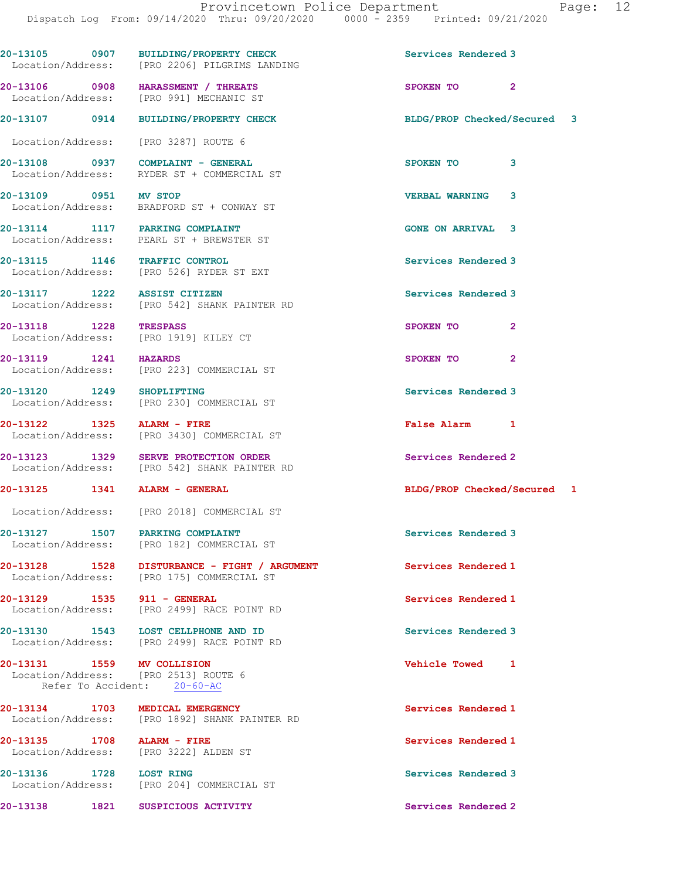|                               | 20-13105 0907 BUILDING/PROPERTY CHECK<br>Location/Address: [PRO 2206] PILGRIMS LANDING    | Services Rendered 3         |
|-------------------------------|-------------------------------------------------------------------------------------------|-----------------------------|
|                               | 20-13106 0908 HARASSMENT / THREATS<br>Location/Address: [PRO 991] MECHANIC ST             | SPOKEN TO 2                 |
| 20-13107 0914                 | <b>BUILDING/PROPERTY CHECK</b>                                                            | BLDG/PROP Checked/Secured 3 |
|                               | Location/Address: [PRO 3287] ROUTE 6                                                      |                             |
|                               | 20-13108 0937 COMPLAINT - GENERAL<br>Location/Address: RYDER ST + COMMERCIAL ST           | SPOKEN TO<br>3              |
| 20-13109 0951 MV STOP         | Location/Address: BRADFORD ST + CONWAY ST                                                 | 3<br><b>VERBAL WARNING</b>  |
|                               | 20-13114 1117 PARKING COMPLAINT<br>Location/Address: PEARL ST + BREWSTER ST               | <b>GONE ON ARRIVAL 3</b>    |
| 20-13115 1146 TRAFFIC CONTROL | Location/Address: [PRO 526] RYDER ST EXT                                                  | Services Rendered 3         |
| 20-13117 1222 ASSIST CITIZEN  | Location/Address: [PRO 542] SHANK PAINTER RD                                              | Services Rendered 3         |
| 20-13118 1228                 | <b>TRESPASS</b><br>Location/Address: [PRO 1919] KILEY CT                                  | SPOKEN TO<br>2              |
| 20-13119 1241 HAZARDS         | Location/Address: [PRO 223] COMMERCIAL ST                                                 | SPOKEN TO<br>2              |
| 20-13120 1249 SHOPLIFTING     | Location/Address: [PRO 230] COMMERCIAL ST                                                 | Services Rendered 3         |
| 20-13122 1325 ALARM - FIRE    | Location/Address: [PRO 3430] COMMERCIAL ST                                                | False Alarm 1               |
|                               | 20-13123 1329 SERVE PROTECTION ORDER<br>Location/Address: [PRO 542] SHANK PAINTER RD      | Services Rendered 2         |
| 20-13125 1341 ALARM - GENERAL |                                                                                           | BLDG/PROP Checked/Secured 1 |
|                               | Location/Address: [PRO 2018] COMMERCIAL ST                                                |                             |
| 20-13127 1507                 | PARKING COMPLAINT<br>Location/Address: [PRO 182] COMMERCIAL ST                            | Services Rendered 3         |
|                               | 20-13128 1528 DISTURBANCE - FIGHT / ARGUMENT<br>Location/Address: [PRO 175] COMMERCIAL ST | Services Rendered 1         |
| 20-13129 1535 911 - GENERAL   | Location/Address: [PRO 2499] RACE POINT RD                                                | Services Rendered 1         |
|                               | 20-13130 1543 LOST CELLPHONE AND ID<br>Location/Address: [PRO 2499] RACE POINT RD         | Services Rendered 3         |
| 20-13131 1559 MV COLLISION    | Location/Address: [PRO 2513] ROUTE 6<br>Refer To Accident: 20-60-AC                       | Vehicle Towed 1             |
|                               | 20-13134 1703 MEDICAL EMERGENCY<br>Location/Address: [PRO 1892] SHANK PAINTER RD          | Services Rendered 1         |
| 20-13135 1708 ALARM - FIRE    | Location/Address: [PRO 3222] ALDEN ST                                                     | Services Rendered 1         |
| 20-13136 1728 LOST RING       | Location/Address: [PRO 204] COMMERCIAL ST                                                 | Services Rendered 3         |
| 20-13138<br>1821              | SUSPICIOUS ACTIVITY                                                                       | Services Rendered 2         |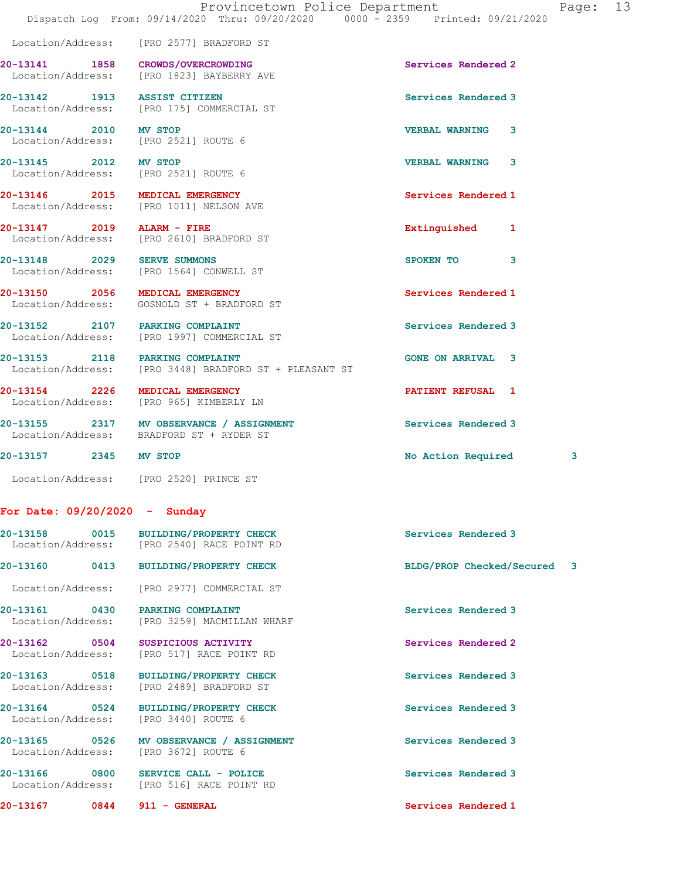20-13141 1858 CROWDS/OVERCROWDING Services Rendered 2 Location/Address: [PRO 1823] BAYBERRY AVE 20-13142 1913 ASSIST CITIZEN Services Rendered 3 Location/Address: [PRO 175] COMMERCIAL ST 20-13144 2010 MV STOP VERBAL WARNING 3 Location/Address: [PRO 2521] ROUTE 6 20-13145 2012 MV STOP VERBAL WARNING 3 Location/Address: [PRO 2521] ROUTE 6 20-13146 2015 MEDICAL EMERGENCY Services Rendered 1 Location/Address: [PRO 1011] NELSON AVE 20-13147 2019 ALARM - FIRE **Extinguished** 1 Location/Address: [PRO 2610] BRADFORD ST 20-13148 2029 SERVE SUMMONS SPOKEN TO 3 Location/Address: [PRO 1564] CONWELL ST 20-13150 2056 MEDICAL EMERGENCY Services Rendered 1 Location/Address: GOSNOLD ST + BRADFORD ST 20-13152 2107 PARKING COMPLAINT Services Rendered 3 Location/Address: [PRO 1997] COMMERCIAL ST 20-13153 2118 PARKING COMPLAINT COME ON ARRIVAL 3 Location/Address: [PRO 3448] BRADFORD ST + PLEASANT ST 20-13154 2226 MEDICAL EMERGENCY PATIENT REFUSAL 1 Location/Address: [PRO 965] KIMBERLY LN 20-13155 2317 MV OBSERVANCE / ASSIGNMENT Services Rendered 3 Location/Address: BRADFORD ST + RYDER ST 20-13157 2345 MV STOP 2008 2009 No Action Required 3

Location/Address: [PRO 2520] PRINCE ST

Location/Address: [PRO 2577] BRADFORD ST

## For Date: 09/20/2020 - Sunday

|                   | 20-13158 0015 BUILDING/PROPERTY CHECK<br>Location/Address: [PRO 2540] RACE POINT RD | Services Rendered 3         |
|-------------------|-------------------------------------------------------------------------------------|-----------------------------|
|                   | 20-13160 0413 BUILDING/PROPERTY CHECK                                               | BLDG/PROP Checked/Secured 3 |
|                   | Location/Address: [PRO 2977] COMMERCIAL ST                                          |                             |
|                   | 20-13161 0430 PARKING COMPLAINT<br>Location/Address: [PRO 3259] MACMILLAN WHARF     | Services Rendered 3         |
|                   | Location/Address: [PRO 517] RACE POINT RD                                           | Services Rendered 2         |
|                   | 20-13163 0518 BUILDING/PROPERTY CHECK<br>Location/Address: [PRO 2489] BRADFORD ST   | Services Rendered 3         |
|                   | 20-13164 0524 BUILDING/PROPERTY CHECK<br>Location/Address: [PRO 3440] ROUTE 6       | Services Rendered 3         |
| Location/Address: | 20-13165 0526 MV OBSERVANCE / ASSIGNMENT<br>[PRO 3672] ROUTE 6                      | Services Rendered 3         |
|                   | $20-13166$ 0800 SERVICE CALL - POLICE<br>Location/Address: [PRO 516] RACE POINT RD  | Services Rendered 3         |
|                   |                                                                                     |                             |

20-13167 0844 911 - GENERAL Services Rendered 1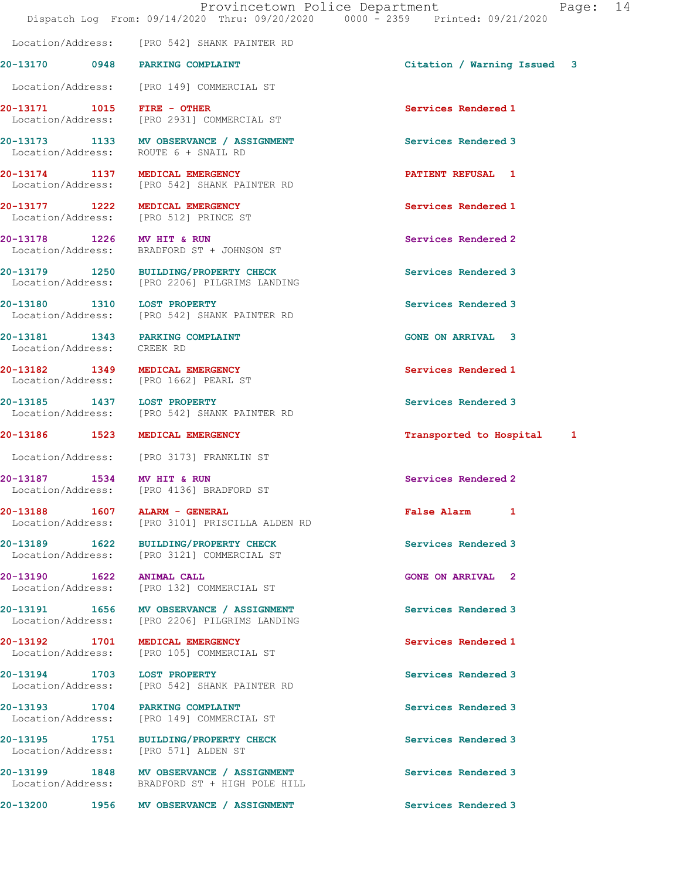20-13170 0948 PARKING COMPLAINT Citation / Warning Issued 3 Location/Address: [PRO 149] COMMERCIAL ST 20-13171 1015 FIRE - OTHER Services Rendered 1 Location/Address: [PRO 2931] COMMERCIAL ST

20-13173 1133 MV OBSERVANCE / ASSIGNMENT Services Rendered 3 Location/Address: ROUTE 6 + SNAIL RD

20-13174 1137 MEDICAL EMERGENCY **1200 1200 PATIENT REFUSAL** 1 Location/Address: [PRO 542] SHANK PAINTER RD

20-13177 1222 MEDICAL EMERGENCY Services Rendered 1 Location/Address: [PRO 512] PRINCE ST

Location/Address: [PRO 542] SHANK PAINTER RD

20-13178 1226 MV HIT & RUN Services Rendered 2 Location/Address: BRADFORD ST + JOHNSON ST

20-13179 1250 BUILDING/PROPERTY CHECK Services Rendered 3 Location/Address: [PRO 2206] PILGRIMS LANDING

20-13180 1310 LOST PROPERTY **120 CONTROL** Services Rendered 3 Location/Address: [PRO 542] SHANK PAINTER RD

Location/Address: CREEK RD

Location/Address: [PRO 1662] PEARL ST

20-13185 1437 LOST PROPERTY Services Rendered 3 Location/Address: [PRO 542] SHANK PAINTER RD

Location/Address: [PRO 3173] FRANKLIN ST

20-13187 1534 MV HIT & RUN Services Rendered 2<br>
Location/Address: [PRO 4136] BRADFORD ST [PRO 4136] BRADFORD ST

20-13188 1607 ALARM - GENERAL False Alarm 1 Location/Address: [PRO 3101] PRISCILLA ALDEN RD

20-13189 1622 BUILDING/PROPERTY CHECK Services Rendered 3 Location/Address: [PRO 3121] COMMERCIAL ST

20-13190 1622 ANIMAL CALL GONE ON ARRIVAL 2 Location/Address: [PRO 132] COMMERCIAL ST

20-13191 1656 MV OBSERVANCE / ASSIGNMENT Services Rendered 3 Location/Address: [PRO 2206] PILGRIMS LANDING

20-13192 1701 MEDICAL EMERGENCY Services Rendered 1 Location/Address: [PRO 105] COMMERCIAL ST

20-13194 1703 LOST PROPERTY **1200 Services Rendered** 3 Location/Address: [PRO 542] SHANK PAINTER RD

20-13193 1704 PARKING COMPLAINT Services Rendered 3 Location/Address: [PRO 149] COMMERCIAL ST

20-13195 1751 BUILDING/PROPERTY CHECK Services Rendered 3 Location/Address: [PRO 571] ALDEN ST

20-13199 1848 MV OBSERVANCE / ASSIGNMENT Services Rendered 3 Location/Address: BRADFORD ST + HIGH POLE HILL

20-13200 1956 MV OBSERVANCE / ASSIGNMENT Services Rendered 3

20-13181 1343 PARKING COMPLAINT GONE ON ARRIVAL 3

20-13182 1349 MEDICAL EMERGENCY Services Rendered 1

20-13186 1523 MEDICAL EMERGENCY **1200 1200 1200** 13186 16 Hospital 1